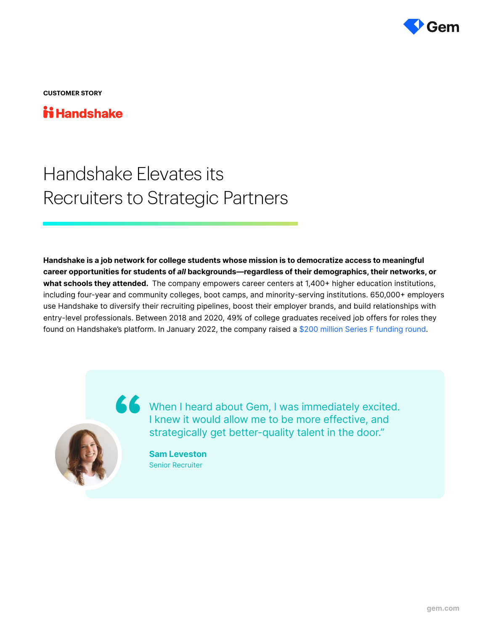

**CUSTOMER STORY**

### **ii Handshake**

# Handshake Elevates its Recruiters to Strategic Partners

Handshake is a job network for college students whose mission is to democratize access to meaningful career opportunities for students of all backgrounds—regardless of their demographics, their networks, or what schools they attended. The company empowers career centers at 1,400+ higher education institutions, including four-year and community colleges, boot camps, and minority-serving institutions. 650,000+ employers use Handshake to diversify their recruiting pipelines, boost their employer brands, and build relationships with entry-level professionals. Between 2018 and 2020, 49% of college graduates received job offers for roles they found on Handshake's platform. In January 2022, the company raised a [\\$200 million Series F funding round.](https://joinhandshake.com/blog/our-team/handshake-the-place-to-start-restart-or-jumpstart-your-career/)



When I heard about Gem, I was immediately excited. I knew it would allow me to be more effective, and strategically get better-quality talent in the door."

> Sam Leveston Senior Recruiter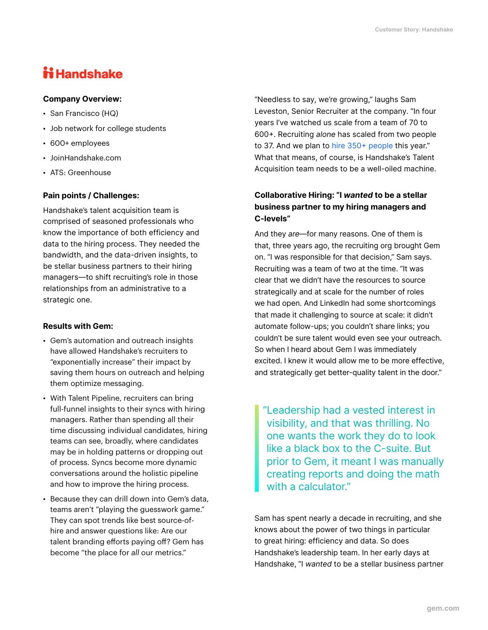## **ii Handshake**

#### Company Overview:

- San Francisco (HQ)
- Job network for college students
- 600+ employees
- JoinHandshake.com
- ATS: Greenhouse

#### Pain points / Challenges:

Handshake's talent acquisition team is comprised of seasoned professionals who know the importance of both efficiency and data to the hiring process. They needed the bandwidth, and the data-driven insights, to be stellar business partners to their hiring managers—to shift recruiting's role in those relationships from an administrative to a strategic one.

#### Results with Gem:

- Gem's automation and outreach insights have allowed Handshake's recruiters to "exponentially increase" their impact by saving them hours on outreach and helping them optimize messaging.
- With Talent Pipeline, recruiters can bring full-funnel insights to their syncs with hiring managers. Rather than spending all their time discussing individual candidates, hiring teams can see, broadly, where candidates may be in holding patterns or dropping out of process. Syncs become more dynamic conversations around the holistic pipeline and how to improve the hiring process.
- Because they can drill down into Gem's data, teams aren't "playing the guesswork game." They can spot trends like best source-ofhire and answer questions like: Are our talent branding efforts paying off? Gem has become "the place for *all* our metrics."

"Needless to say, we're growing," laughs Sam Leveston, Senior Recruiter at the company. "In four years I've watched us scale from a team of 70 to 600+. Recruiting alone has scaled from two people to 37. And we plan to [hire 350+ people](https://joinhandshake.com/careers) this year." What that means, of course, is Handshake's Talent Acquisition team needs to be a well-oiled machine.

#### Collaborative Hiring: "I wanted to be a stellar business partner to my hiring managers and C-levels"

And they are—for many reasons. One of them is that, three years ago, the recruiting org brought Gem on. "I was responsible for that decision," Sam says. Recruiting was a team of two at the time. "It was clear that we didn't have the resources to source strategically and at scale for the number of roles we had open. And LinkedIn had some shortcomings that made it challenging to source at scale: it didn't automate follow-ups; you couldn't share links; you couldn't be sure talent would even see your outreach. So when I heard about Gem I was immediately excited. I knew it would allow me to be more effective, and strategically get better-quality talent in the door."

"Leadership had a vested interest in visibility, and that was thrilling. No one wants the work they do to look like a black box to the C-suite. But prior to Gem, it meant I was manually creating reports and doing the math with a calculator."

Sam has spent nearly a decade in recruiting, and she knows about the power of two things in particular to great hiring: efficiency and data. So does Handshake's leadership team. In her early days at Handshake, "I wanted to be a stellar business partner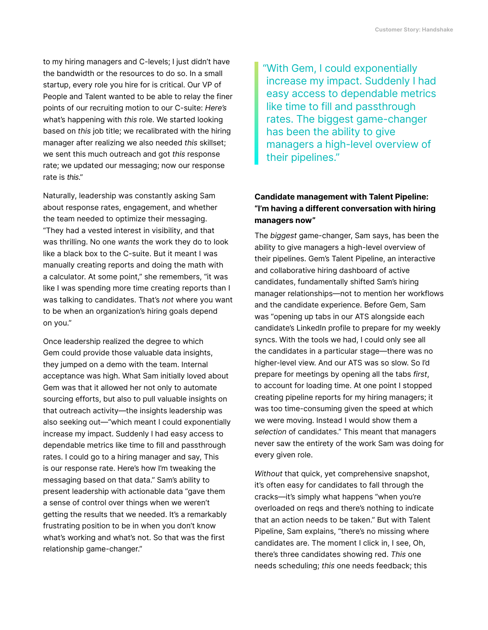to my hiring managers and C-levels; I just didn't have the bandwidth or the resources to do so. In a small startup, every role you hire for is critical. Our VP of People and Talent wanted to be able to relay the finer points of our recruiting motion to our C-suite: Here's what's happening with this role. We started looking based on this job title; we recalibrated with the hiring manager after realizing we also needed this skillset; we sent this much outreach and got this response rate; we updated our messaging; now our response rate is this."

Naturally, leadership was constantly asking Sam about response rates, engagement, and whether the team needed to optimize their messaging. "They had a vested interest in visibility, and that was thrilling. No one wants the work they do to look like a black box to the C-suite. But it meant I was manually creating reports and doing the math with a calculator. At some point," she remembers, "it was like I was spending more time creating reports than I was talking to candidates. That's not where you want to be when an organization's hiring goals depend on you."

Once leadership realized the degree to which Gem could provide those valuable data insights, they jumped on a demo with the team. Internal acceptance was high. What Sam initially loved about Gem was that it allowed her not only to automate sourcing efforts, but also to pull valuable insights on that outreach activity—the insights leadership was also seeking out—"which meant I could exponentially increase my impact. Suddenly I had easy access to dependable metrics like time to fill and passthrough rates. I could go to a hiring manager and say, This is our response rate. Here's how I'm tweaking the messaging based on that data." Sam's ability to present leadership with actionable data "gave them a sense of control over things when we weren't getting the results that we needed. It's a remarkably frustrating position to be in when you don't know what's working and what's not. So that was the first relationship game-changer."

"With Gem, I could exponentially increase my impact. Suddenly I had easy access to dependable metrics like time to fill and passthrough rates. The biggest game-changer has been the ability to give managers a high-level overview of their pipelines."

#### Candidate management with Talent Pipeline: "I'm having a different conversation with hiring managers now"

The biggest game-changer, Sam says, has been the ability to give managers a high-level overview of their pipelines. Gem's Talent Pipeline, an interactive and collaborative hiring dashboard of active candidates, fundamentally shifted Sam's hiring manager relationships—not to mention her workflows and the candidate experience. Before Gem, Sam was "opening up tabs in our ATS alongside each candidate's LinkedIn profile to prepare for my weekly syncs. With the tools we had, I could only see all the candidates in a particular stage—there was no higher-level view. And our ATS was so slow. So I'd prepare for meetings by opening all the tabs first, to account for loading time. At one point I stopped creating pipeline reports for my hiring managers; it was too time-consuming given the speed at which we were moving. Instead I would show them a selection of candidates." This meant that managers never saw the entirety of the work Sam was doing for every given role.

Without that quick, yet comprehensive snapshot, it's often easy for candidates to fall through the cracks—it's simply what happens "when you're overloaded on reqs and there's nothing to indicate that an action needs to be taken." But with Talent Pipeline, Sam explains, "there's no missing where candidates are. The moment I click in, I see, Oh, there's three candidates showing red. This one needs scheduling; this one needs feedback; this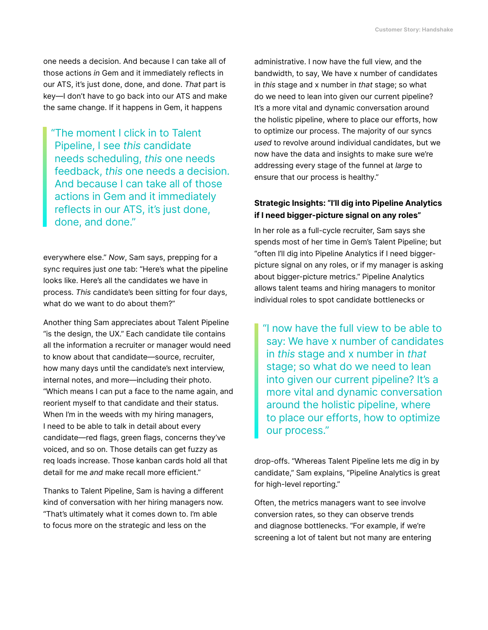one needs a decision. And because I can take all of those actions in Gem and it immediately reflects in our ATS, it's just done, done, and done. That part is key—I don't have to go back into our ATS and make the same change. If it happens in Gem, it happens

"The moment I click in to Talent Pipeline, I see this candidate needs scheduling, this one needs feedback, this one needs a decision. And because I can take all of those actions in Gem and it immediately reflects in our ATS, it's just done, done, and done."

everywhere else." Now, Sam says, prepping for a sync requires just one tab: "Here's what the pipeline looks like. Here's all the candidates we have in process. This candidate's been sitting for four days, what do we want to do about them?"

Another thing Sam appreciates about Talent Pipeline "is the design, the UX." Each candidate tile contains all the information a recruiter or manager would need to know about that candidate—source, recruiter, how many days until the candidate's next interview, internal notes, and more—including their photo. "Which means I can put a face to the name again, and reorient myself to that candidate and their status. When I'm in the weeds with my hiring managers, I need to be able to talk in detail about every candidate—red flags, green flags, concerns they've voiced, and so on. Those details can get fuzzy as req loads increase. Those kanban cards hold all that detail for me and make recall more efficient."

Thanks to Talent Pipeline, Sam is having a different kind of conversation with her hiring managers now. "That's ultimately what it comes down to. I'm able to focus more on the strategic and less on the

administrative. I now have the full view, and the bandwidth, to say, We have x number of candidates in this stage and x number in that stage; so what do we need to lean into given our current pipeline? It's a more vital and dynamic conversation around the holistic pipeline, where to place our efforts, how to optimize our process. The majority of our syncs used to revolve around individual candidates, but we now have the data and insights to make sure we're addressing every stage of the funnel at large to ensure that our process is healthy."

#### Strategic Insights: "I'll dig into Pipeline Analytics if I need bigger-picture signal on any roles"

In her role as a full-cycle recruiter, Sam says she spends most of her time in Gem's Talent Pipeline; but "often I'll dig into Pipeline Analytics if I need biggerpicture signal on any roles, or if my manager is asking about bigger-picture metrics." Pipeline Analytics allows talent teams and hiring managers to monitor individual roles to spot candidate bottlenecks or

"I now have the full view to be able to say: We have x number of candidates in this stage and x number in that stage; so what do we need to lean into given our current pipeline? It's a more vital and dynamic conversation around the holistic pipeline, where to place our efforts, how to optimize our process."

drop-offs. "Whereas Talent Pipeline lets me dig in by candidate," Sam explains, "Pipeline Analytics is great for high-level reporting."

Often, the metrics managers want to see involve conversion rates, so they can observe trends and diagnose bottlenecks. "For example, if we're screening a lot of talent but not many are entering